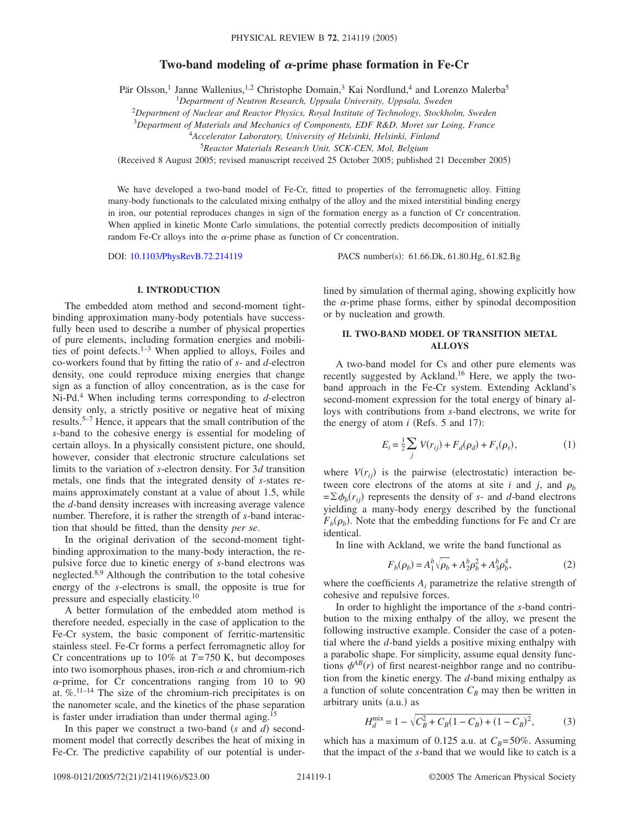# Two-band modeling of  $\alpha$ -prime phase formation in Fe-Cr

Pär Olsson,<sup>1</sup> Janne Wallenius,<sup>1,2</sup> Christophe Domain,<sup>3</sup> Kai Nordlund,<sup>4</sup> and Lorenzo Malerba<sup>5</sup>

1 *Department of Neutron Research, Uppsala University, Uppsala, Sweden*

<sup>2</sup>*Department of Nuclear and Reactor Physics, Royal Institute of Technology, Stockholm, Sweden*

3 *Department of Materials and Mechanics of Components, EDF R&D, Moret sur Loing, France*

<sup>4</sup>*Accelerator Laboratory, University of Helsinki, Helsinki, Finland*

<sup>5</sup>*Reactor Materials Research Unit, SCK-CEN, Mol, Belgium*

Received 8 August 2005; revised manuscript received 25 October 2005; published 21 December 2005-

We have developed a two-band model of Fe-Cr, fitted to properties of the ferromagnetic alloy. Fitting many-body functionals to the calculated mixing enthalpy of the alloy and the mixed interstitial binding energy in iron, our potential reproduces changes in sign of the formation energy as a function of Cr concentration. When applied in kinetic Monte Carlo simulations, the potential correctly predicts decomposition of initially random Fe-Cr alloys into the  $\alpha$ -prime phase as function of Cr concentration.

DOI: [10.1103/PhysRevB.72.214119](http://dx.doi.org/10.1103/PhysRevB.72.214119)

PACS number(s): 61.66.Dk, 61.80.Hg, 61.82.Bg

### **I. INTRODUCTION**

The embedded atom method and second-moment tightbinding approximation many-body potentials have successfully been used to describe a number of physical properties of pure elements, including formation energies and mobilities of point defects.<sup>1–3</sup> When applied to alloys, Foiles and co-workers found that by fitting the ratio of *s*- and *d*-electron density, one could reproduce mixing energies that change sign as a function of alloy concentration, as is the case for Ni-Pd.4 When including terms corresponding to *d*-electron density only, a strictly positive or negative heat of mixing results.5–7 Hence, it appears that the small contribution of the *s*-band to the cohesive energy is essential for modeling of certain alloys. In a physically consistent picture, one should, however, consider that electronic structure calculations set limits to the variation of *s*-electron density. For 3*d* transition metals, one finds that the integrated density of *s*-states remains approximately constant at a value of about 1.5, while the *d*-band density increases with increasing average valence number. Therefore, it is rather the strength of *s*-band interaction that should be fitted, than the density *per se*.

In the original derivation of the second-moment tightbinding approximation to the many-body interaction, the repulsive force due to kinetic energy of *s*-band electrons was neglected.<sup>8,9</sup> Although the contribution to the total cohesive energy of the *s*-electrons is small, the opposite is true for pressure and especially elasticity.<sup>10</sup>

A better formulation of the embedded atom method is therefore needed, especially in the case of application to the Fe-Cr system, the basic component of ferritic-martensitic stainless steel. Fe-Cr forms a perfect ferromagnetic alloy for Cr concentrations up to  $10\%$  at  $T=750$  K, but decomposes into two isomorphous phases, iron-rich  $\alpha$  and chromium-rich  $\alpha$ -prime, for Cr concentrations ranging from 10 to 90 at.  $\%$ .<sup>11–14</sup> The size of the chromium-rich precipitates is on the nanometer scale, and the kinetics of the phase separation is faster under irradiation than under thermal aging.<sup>15</sup>

In this paper we construct a two-band *(s* and *d)* secondmoment model that correctly describes the heat of mixing in Fe-Cr. The predictive capability of our potential is underlined by simulation of thermal aging, showing explicitly how the  $\alpha$ -prime phase forms, either by spinodal decomposition or by nucleation and growth.

## **II. TWO-BAND MODEL OF TRANSITION METAL ALLOYS**

A two-band model for Cs and other pure elements was recently suggested by Ackland.16 Here, we apply the twoband approach in the Fe-Cr system. Extending Ackland's second-moment expression for the total energy of binary alloys with contributions from *s*-band electrons, we write for the energy of atom  $i$  (Refs. 5 and 17):

$$
E_i = \frac{1}{2} \sum_j V(r_{ij}) + F_d(\rho_d) + F_s(\rho_s),
$$
 (1)

where  $V(r_{ij})$  is the pairwise (electrostatic) interaction between core electrons of the atoms at site *i* and *j*, and  $\rho_b$  $=\sum \phi_b(r_{ij})$  represents the density of *s*- and *d*-band electrons yielding a many-body energy described by the functional  $F_b(\rho_b)$ . Note that the embedding functions for Fe and Cr are identical.

In line with Ackland, we write the band functional as

$$
F_b(\rho_b) = A_1^b \sqrt{\rho_b} + A_2^b \rho_b^2 + A_3^b \rho_b^4, \tag{2}
$$

where the coefficients *Ai* parametrize the relative strength of cohesive and repulsive forces.

In order to highlight the importance of the *s*-band contribution to the mixing enthalpy of the alloy, we present the following instructive example. Consider the case of a potential where the *d*-band yields a positive mixing enthalpy with a parabolic shape. For simplicity, assume equal density functions  $\phi^{AB}(r)$  of first nearest-neighbor range and no contribution from the kinetic energy. The *d*-band mixing enthalpy as a function of solute concentration  $C_B$  may then be written in arbitrary units (a.u.) as

$$
H_d^{\text{mix}} = 1 - \sqrt{C_B^2 + C_B(1 - C_B) + (1 - C_B)^2},\tag{3}
$$

which has a maximum of 0.125 a.u. at  $C_B = 50\%$ . Assuming that the impact of the *s*-band that we would like to catch is a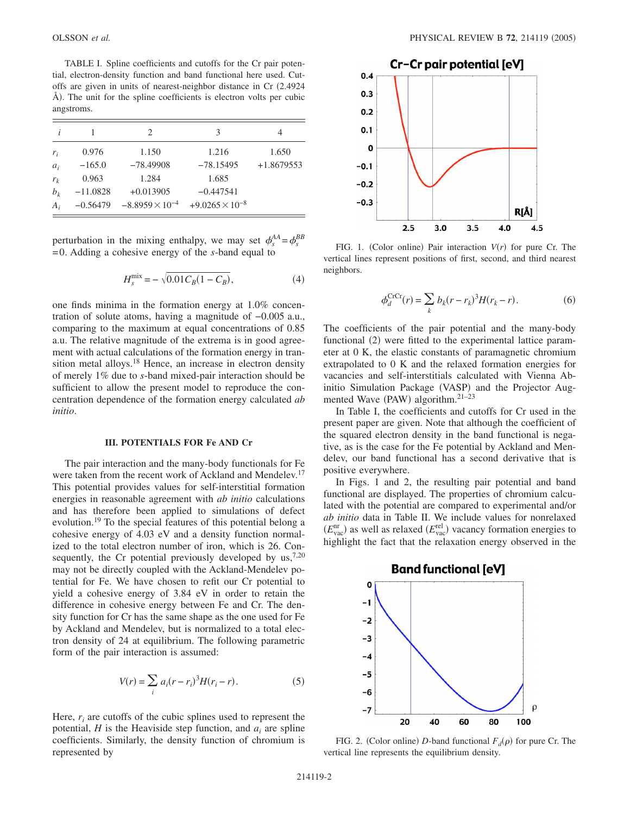TABLE I. Spline coefficients and cutoffs for the Cr pair potential, electron-density function and band functional here used. Cutoffs are given in units of nearest-neighbor distance in Cr 2.4924 Å). The unit for the spline coefficients is electron volts per cubic angstroms.

|       |            | 2                        | 3                        |              |
|-------|------------|--------------------------|--------------------------|--------------|
| $r_i$ | 0.976      | 1.150                    | 1.216                    | 1.650        |
| $a_i$ | $-165.0$   | $-78.49908$              | $-78.15495$              | $+1.8679553$ |
| $r_k$ | 0.963      | 1.284                    | 1.685                    |              |
| $b_k$ | $-11.0828$ | $+0.013905$              | $-0.447541$              |              |
| $A_i$ | $-0.56479$ | $-8.8959 \times 10^{-4}$ | $+9.0265 \times 10^{-8}$ |              |

perturbation in the mixing enthalpy, we may set  $\phi_s^{AA} = \phi_s^{BB}$ =0. Adding a cohesive energy of the *s*-band equal to

$$
H_s^{\text{mix}} = -\sqrt{0.01 C_B (1 - C_B)},\tag{4}
$$

one finds minima in the formation energy at 1.0% concentration of solute atoms, having a magnitude of −0.005 a.u., comparing to the maximum at equal concentrations of 0.85 a.u. The relative magnitude of the extrema is in good agreement with actual calculations of the formation energy in transition metal alloys.<sup>18</sup> Hence, an increase in electron density of merely 1% due to *s*-band mixed-pair interaction should be sufficient to allow the present model to reproduce the concentration dependence of the formation energy calculated *ab initio*.

#### **III. POTENTIALS FOR Fe AND Cr**

The pair interaction and the many-body functionals for Fe were taken from the recent work of Ackland and Mendelev.<sup>17</sup> This potential provides values for self-interstitial formation energies in reasonable agreement with *ab initio* calculations and has therefore been applied to simulations of defect evolution.<sup>19</sup> To the special features of this potential belong a cohesive energy of 4.03 eV and a density function normalized to the total electron number of iron, which is 26. Consequently, the Cr potential previously developed by  $us^{7,20}$ , may not be directly coupled with the Ackland-Mendelev potential for Fe. We have chosen to refit our Cr potential to yield a cohesive energy of 3.84 eV in order to retain the difference in cohesive energy between Fe and Cr. The density function for Cr has the same shape as the one used for Fe by Ackland and Mendelev, but is normalized to a total electron density of 24 at equilibrium. The following parametric form of the pair interaction is assumed:

$$
V(r) = \sum_{i} a_i (r - r_i)^3 H(r_i - r).
$$
 (5)

Here, *ri* are cutoffs of the cubic splines used to represent the potential,  $H$  is the Heaviside step function, and  $a_i$  are spline coefficients. Similarly, the density function of chromium is represented by



FIG. 1. (Color online) Pair interaction  $V(r)$  for pure Cr. The vertical lines represent positions of first, second, and third nearest neighbors.

$$
\phi_d^{\text{CrCr}}(r) = \sum_k b_k (r - r_k)^3 H(r_k - r).
$$
 (6)

The coefficients of the pair potential and the many-body functional (2) were fitted to the experimental lattice parameter at 0 K, the elastic constants of paramagnetic chromium extrapolated to 0 K and the relaxed formation energies for vacancies and self-interstitials calculated with Vienna Abinitio Simulation Package (VASP) and the Projector Augmented Wave (PAW) algorithm. $21-23$ 

In Table I, the coefficients and cutoffs for Cr used in the present paper are given. Note that although the coefficient of the squared electron density in the band functional is negative, as is the case for the Fe potential by Ackland and Mendelev, our band functional has a second derivative that is positive everywhere.

In Figs. 1 and 2, the resulting pair potential and band functional are displayed. The properties of chromium calculated with the potential are compared to experimental and/or *ab initio* data in Table II. We include values for nonrelaxed  $(E_{\text{vac}}^{\text{nr}})$  as well as relaxed  $(E_{\text{vac}}^{\text{rel}})$  vacancy formation energies to highlight the fact that the relaxation energy observed in the



FIG. 2. (Color online) *D*-band functional  $F_d(\rho)$  for pure Cr. The vertical line represents the equilibrium density.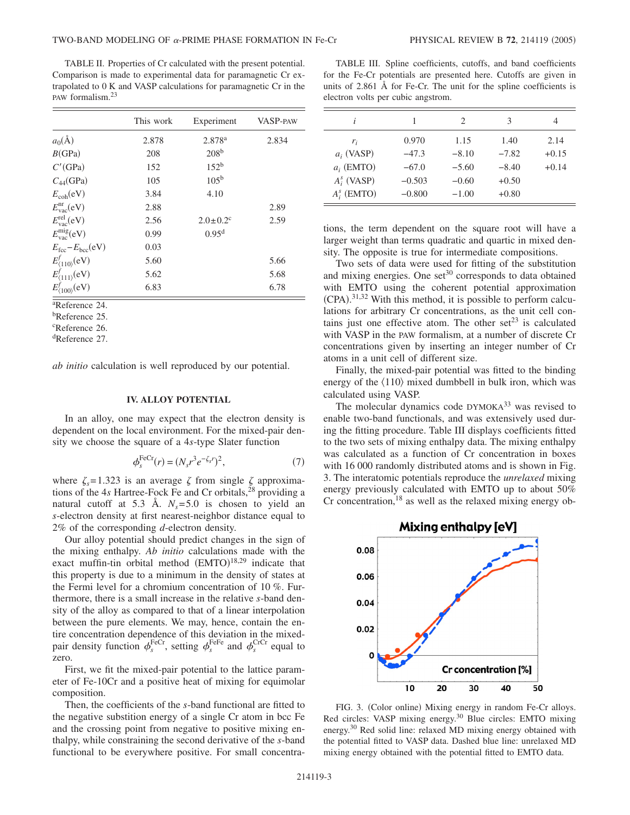TABLE II. Properties of Cr calculated with the present potential. Comparison is made to experimental data for paramagnetic Cr extrapolated to 0 K and VASP calculations for paramagnetic Cr in the PAW formalism.23

|                                                                    | This work | Experiment                 | <b>VASP-PAW</b> |
|--------------------------------------------------------------------|-----------|----------------------------|-----------------|
| $a_0(\AA)$                                                         | 2.878     | 2.878 <sup>a</sup>         | 2.834           |
| B(GPa)                                                             | 208       | 208 <sup>b</sup>           |                 |
| $C'$ (GPa)                                                         | 152       | 152 <sup>b</sup>           |                 |
| $C_{44}$ (GPa)                                                     | 105       | 105 <sup>b</sup>           |                 |
| $E_{coh}(eV)$                                                      | 3.84      | 4.10                       |                 |
| $E_{\text{vac}}^{\text{nr}}(\text{eV})$                            | 2.88      |                            | 2.89            |
| $E_{\text{vac}}^{\text{rel}}(\text{eV})$                           | 2.56      | $2.0 \pm 0.2$ <sup>c</sup> | 2.59            |
| $E_{\text{vac}}^{\text{mig}}(\text{eV})$                           | 0.99      | 0.95 <sup>d</sup>          |                 |
| $E_{\text{fcc}} - E_{\text{bcc}}(eV)$                              | 0.03      |                            |                 |
|                                                                    | 5.60      |                            | 5.66            |
| $E^f_{\langle 110\rangle}$ (eV)<br>$E^f_{\langle 111\rangle}$ (eV) | 5.62      |                            | 5.68            |
| $E_{\langle 100\rangle}^f({\rm eV})$                               | 6.83      |                            | 6.78            |

a Reference 24.

b Reference 25.

c Reference 26.

d Reference 27.

*ab initio* calculation is well reproduced by our potential.

#### **IV. ALLOY POTENTIAL**

In an alloy, one may expect that the electron density is dependent on the local environment. For the mixed-pair density we choose the square of a 4*s*-type Slater function

$$
\phi_s^{\text{FeCr}}(r) = (N_s r^3 e^{-\zeta_s r})^2,\tag{7}
$$

where  $\zeta_s = 1.323$  is an average  $\zeta$  from single  $\zeta$  approximations of the 4*s* Hartree-Fock Fe and Cr orbitals,<sup>28</sup> providing a natural cutoff at 5.3 Å.  $N_s = 5.0$  is chosen to yield an *s*-electron density at first nearest-neighbor distance equal to 2% of the corresponding *d*-electron density.

Our alloy potential should predict changes in the sign of the mixing enthalpy. *Ab initio* calculations made with the exact muffin-tin orbital method  $(EMTO)^{18,29}$  indicate that this property is due to a minimum in the density of states at the Fermi level for a chromium concentration of 10 %. Furthermore, there is a small increase in the relative *s*-band density of the alloy as compared to that of a linear interpolation between the pure elements. We may, hence, contain the entire concentration dependence of this deviation in the mixedpair density function  $\phi_s^{\text{FeCr}}$ , setting  $\phi_s^{\text{FeFe}}$  and  $\phi_s^{\text{CrCr}}$  equal to zero.

First, we fit the mixed-pair potential to the lattice parameter of Fe-10Cr and a positive heat of mixing for equimolar composition.

Then, the coefficients of the *s*-band functional are fitted to the negative substition energy of a single Cr atom in bcc Fe and the crossing point from negative to positive mixing enthalpy, while constraining the second derivative of the *s*-band functional to be everywhere positive. For small concentra-

TABLE III. Spline coefficients, cutoffs, and band coefficients for the Fe-Cr potentials are presented here. Cutoffs are given in units of 2.861 Å for Fe-Cr. The unit for the spline coefficients is electron volts per cubic angstrom.

| i              | 1        | 2       | 3       | 4       |
|----------------|----------|---------|---------|---------|
| $r_i$          | 0.970    | 1.15    | 1.40    | 2.14    |
| $a_i$ (VASP)   | $-47.3$  | $-8.10$ | $-7.82$ | $+0.15$ |
| $a_i$ (EMTO)   | $-67.0$  | $-5.60$ | $-8.40$ | $+0.14$ |
| $A_i^s$ (VASP) | $-0.503$ | $-0.60$ | $+0.50$ |         |
| $A_i^s$ (EMTO) | $-0.800$ | $-1.00$ | $+0.80$ |         |

tions, the term dependent on the square root will have a larger weight than terms quadratic and quartic in mixed density. The opposite is true for intermediate compositions.

Two sets of data were used for fitting of the substitution and mixing energies. One  $set^{30}$  corresponds to data obtained with EMTO using the coherent potential approximation  $(CPA).$ <sup>31,32</sup> With this method, it is possible to perform calculations for arbitrary Cr concentrations, as the unit cell contains just one effective atom. The other set<sup>23</sup> is calculated with VASP in the PAW formalism, at a number of discrete Cr concentrations given by inserting an integer number of Cr atoms in a unit cell of different size.

Finally, the mixed-pair potential was fitted to the binding energy of the  $\langle 110 \rangle$  mixed dumbbell in bulk iron, which was calculated using VASP.

The molecular dynamics code DYMOKA<sup>33</sup> was revised to enable two-band functionals, and was extensively used during the fitting procedure. Table III displays coefficients fitted to the two sets of mixing enthalpy data. The mixing enthalpy was calculated as a function of Cr concentration in boxes with 16 000 randomly distributed atoms and is shown in Fig. 3. The interatomic potentials reproduce the *unrelaxed* mixing energy previously calculated with EMTO up to about 50%  $Cr$  concentration,<sup>18</sup> as well as the relaxed mixing energy ob-



FIG. 3. (Color online) Mixing energy in random Fe-Cr alloys. Red circles: VASP mixing energy.30 Blue circles: EMTO mixing energy.30 Red solid line: relaxed MD mixing energy obtained with the potential fitted to VASP data. Dashed blue line: unrelaxed MD mixing energy obtained with the potential fitted to EMTO data.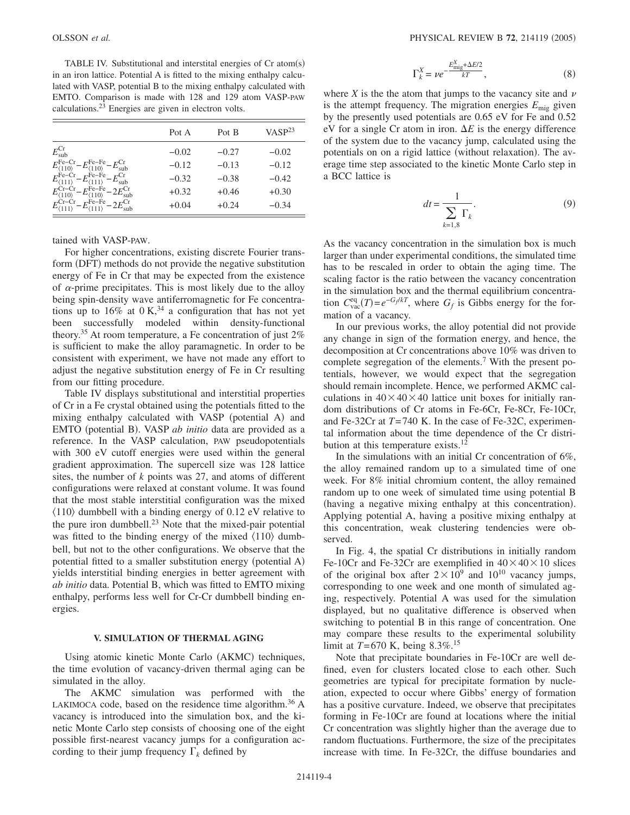TABLE IV. Substitutional and interstital energies of  $Cr$  atom $(s)$ in an iron lattice. Potential A is fitted to the mixing enthalpy calculated with VASP, potential B to the mixing enthalpy calculated with EMTO. Comparison is made with 128 and 129 atom VASP-PAW calculations.23 Energies are given in electron volts.

|                                                                                                                  | Pot A   | Pot B   | $VASP^{23}$ |
|------------------------------------------------------------------------------------------------------------------|---------|---------|-------------|
| $E_{sub}^{Cr}$                                                                                                   | $-0.02$ | $-0.27$ | $-0.02$     |
| $E_{\langle 110 \rangle}^{\text{Fe--Cr}} - E_{\langle 110 \rangle}^{\text{Fe--Fe}} - E_{\text{sub}}^{\text{Cr}}$ | $-0.12$ | $-0.13$ | $-0.12$     |
| $E_{\langle 111\rangle}^{\text{Fe--Cr}} - E_{\langle 111\rangle}^{\text{Fe--Fe}} - E_{\text{sub}}^{\text{Cr}}$   | $-0.32$ | $-0.38$ | $-0.42$     |
| $E_{\langle 110 \rangle}^{\rm Cr-Cr} - E_{\langle 110 \rangle}^{\rm Fe-Fe} - 2E_{\rm sub}^{\rm Cr}$              | $+0.32$ | $+0.46$ | $+0.30$     |
| $E_{\langle 111\rangle}^{\rm Cr-Cr} - E_{\langle 111\rangle}^{\rm Fe-Fe} - 2E_{\rm sub}^{\rm Cr}$                | $+0.04$ | $+0.24$ | $-0.34$     |

tained with VASP-PAW.

For higher concentrations, existing discrete Fourier transform (DFT) methods do not provide the negative substitution energy of Fe in Cr that may be expected from the existence of  $\alpha$ -prime precipitates. This is most likely due to the alloy being spin-density wave antiferromagnetic for Fe concentrations up to 16% at  $0 \text{ K}^{34}$  a configuration that has not yet been successfully modeled within density-functional theory.<sup>35</sup> At room temperature, a Fe concentration of just  $2\%$ is sufficient to make the alloy paramagnetic. In order to be consistent with experiment, we have not made any effort to adjust the negative substitution energy of Fe in Cr resulting from our fitting procedure.

Table IV displays substitutional and interstitial properties of Cr in a Fe crystal obtained using the potentials fitted to the mixing enthalpy calculated with VASP (potential A) and EMTO (potential B). VASP *ab initio* data are provided as a reference. In the VASP calculation, PAW pseudopotentials with 300 eV cutoff energies were used within the general gradient approximation. The supercell size was 128 lattice sites, the number of *k* points was 27, and atoms of different configurations were relaxed at constant volume. It was found that the most stable interstitial configuration was the mixed  $\langle 110 \rangle$  dumbbell with a binding energy of 0.12 eV relative to the pure iron dumbbell. $^{23}$  Note that the mixed-pair potential was fitted to the binding energy of the mixed  $\langle 110 \rangle$  dumbbell, but not to the other configurations. We observe that the potential fitted to a smaller substitution energy (potential A) yields interstitial binding energies in better agreement with *ab initio* data. Potential B, which was fitted to EMTO mixing enthalpy, performs less well for Cr-Cr dumbbell binding energies.

### **V. SIMULATION OF THERMAL AGING**

Using atomic kinetic Monte Carlo (AKMC) techniques, the time evolution of vacancy-driven thermal aging can be simulated in the alloy.

The AKMC simulation was performed with the LAKIMOCA code, based on the residence time algorithm.<sup>36</sup> A vacancy is introduced into the simulation box, and the kinetic Monte Carlo step consists of choosing one of the eight possible first-nearest vacancy jumps for a configuration according to their jump frequency  $\Gamma_k$  defined by

$$
\Gamma_k^X = \nu e^{-\frac{E_{\text{mig}}^X + \Delta E/2}{kT}},\tag{8}
$$

where  $X$  is the the atom that jumps to the vacancy site and  $\nu$ is the attempt frequency. The migration energies  $E_{\text{mis}}$  given by the presently used potentials are 0.65 eV for Fe and 0.52 eV for a single Cr atom in iron.  $\Delta E$  is the energy difference of the system due to the vacancy jump, calculated using the potentials on on a rigid lattice (without relaxation). The average time step associated to the kinetic Monte Carlo step in a BCC lattice is

$$
dt = \frac{1}{\sum_{k=1,8} \Gamma_k}.
$$
\n(9)

As the vacancy concentration in the simulation box is much larger than under experimental conditions, the simulated time has to be rescaled in order to obtain the aging time. The scaling factor is the ratio between the vacancy concentration in the simulation box and the thermal equilibrium concentration  $C_{\text{vac}}^{\text{eq}}(T) = e^{-G_f/kT}$ , where  $G_f$  is Gibbs energy for the formation of a vacancy.

In our previous works, the alloy potential did not provide any change in sign of the formation energy, and hence, the decomposition at Cr concentrations above 10% was driven to complete segregation of the elements.<sup>7</sup> With the present potentials, however, we would expect that the segregation should remain incomplete. Hence, we performed AKMC calculations in  $40 \times 40 \times 40$  lattice unit boxes for initially random distributions of Cr atoms in Fe-6Cr, Fe-8Cr, Fe-10Cr, and Fe-32Cr at *T*=740 K. In the case of Fe-32C, experimental information about the time dependence of the Cr distribution at this temperature exists.<sup>12</sup>

In the simulations with an initial Cr concentration of 6%, the alloy remained random up to a simulated time of one week. For 8% initial chromium content, the alloy remained random up to one week of simulated time using potential B (having a negative mixing enthalpy at this concentration). Applying potential A, having a positive mixing enthalpy at this concentration, weak clustering tendencies were observed.

In Fig. 4, the spatial Cr distributions in initially random Fe-10Cr and Fe-32Cr are exemplified in  $40 \times 40 \times 10$  slices of the original box after  $2 \times 10^9$  and  $10^{10}$  vacancy jumps, corresponding to one week and one month of simulated aging, respectively. Potential A was used for the simulation displayed, but no qualitative difference is observed when switching to potential B in this range of concentration. One may compare these results to the experimental solubility limit at *T*=670 K, being 8.3%.15

Note that precipitate boundaries in Fe-10Cr are well defined, even for clusters located close to each other. Such geometries are typical for precipitate formation by nucleation, expected to occur where Gibbs' energy of formation has a positive curvature. Indeed, we observe that precipitates forming in Fe-10Cr are found at locations where the initial Cr concentration was slightly higher than the average due to random fluctuations. Furthermore, the size of the precipitates increase with time. In Fe-32Cr, the diffuse boundaries and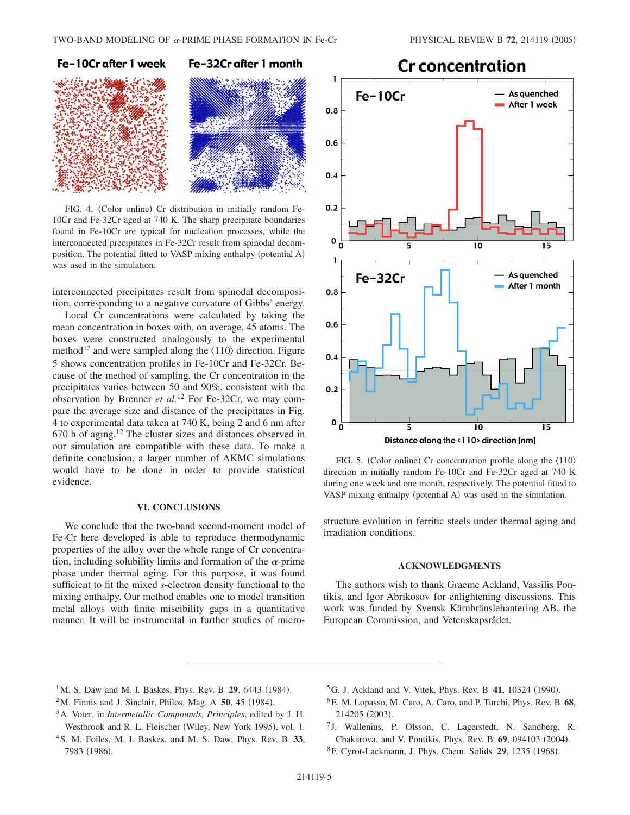

FIG. 4. (Color online) Cr distribution in initially random Fe-10Cr and Fe-32Cr aged at 740 K. The sharp precipitate boundaries found in Fe-10Cr are typical for nucleation processes, while the interconnected precipitates in Fe-32Cr result from spinodal decomposition. The potential fitted to VASP mixing enthalpy (potential A) was used in the simulation.

interconnected precipitates result from spinodal decomposition, corresponding to a negative curvature of Gibbs' energy.

Local Cr concentrations were calculated by taking the mean concentration in boxes with, on average, 45 atoms. The boxes were constructed analogously to the experimental method<sup>12</sup> and were sampled along the  $\langle 110 \rangle$  direction. Figure 5 shows concentration profiles in Fe-10Cr and Fe-32Cr. Because of the method of sampling, the Cr concentration in the precipitates varies between 50 and 90%, consistent with the observation by Brenner *et al.*<sup>12</sup> For Fe-32Cr, we may compare the average size and distance of the precipitates in Fig. 4 to experimental data taken at 740 K, being 2 and 6 nm after  $670$  h of aging.<sup>12</sup> The cluster sizes and distances observed in our simulation are compatible with these data. To make a definite conclusion, a larger number of AKMC simulations would have to be done in order to provide statistical evidence.

### **VI. CONCLUSIONS**

We conclude that the two-band second-moment model of Fe-Cr here developed is able to reproduce thermodynamic properties of the alloy over the whole range of Cr concentration, including solubility limits and formation of the  $\alpha$ -prime phase under thermal aging. For this purpose, it was found sufficient to fit the mixed *s*-electron density functional to the mixing enthalpy. Our method enables one to model transition metal alloys with finite miscibility gaps in a quantitative manner. It will be instrumental in further studies of micro-



FIG. 5. (Color online) Cr concentration profile along the  $\langle 110 \rangle$ direction in initially random Fe-10Cr and Fe-32Cr aged at 740 K during one week and one month, respectively. The potential fitted to VASP mixing enthalpy (potential A) was used in the simulation.

structure evolution in ferritic steels under thermal aging and irradiation conditions.

## **ACKNOWLEDGMENTS**

The authors wish to thank Graeme Ackland, Vassilis Pontikis, and Igor Abrikosov for enlightening discussions. This work was funded by Svensk Kärnbränslehantering AB, the European Commission, and Vetenskapsrådet.

- <sup>1</sup>M. S. Daw and M. I. Baskes, Phys. Rev. B **29**, 6443 (1984).
- $2^2$ M. Finnis and J. Sinclair, Philos. Mag. A  $50$ , 45 (1984).
- 3A. Voter, in *Intermetallic Compounds, Principles*, edited by J. H. Westbrook and R. L. Fleischer (Wiley, New York 1995), vol. 1.
- 4S. M. Foiles, M. I. Baskes, and M. S. Daw, Phys. Rev. B **33**, 7983 (1986).
- ${}^5$ G. J. Ackland and V. Vitek, Phys. Rev. B 41, 10324 (1990).
- 6E. M. Lopasso, M. Caro, A. Caro, and P. Turchi, Phys. Rev. B **68**, 214205 (2003).
- <sup>7</sup> J. Wallenius, P. Olsson, C. Lagerstedt, N. Sandberg, R. Chakarova, and V. Pontikis, Phys. Rev. B 69, 094103 (2004).
- <sup>8</sup> F. Cyrot-Lackmann, J. Phys. Chem. Solids **29**, 1235 (1968).